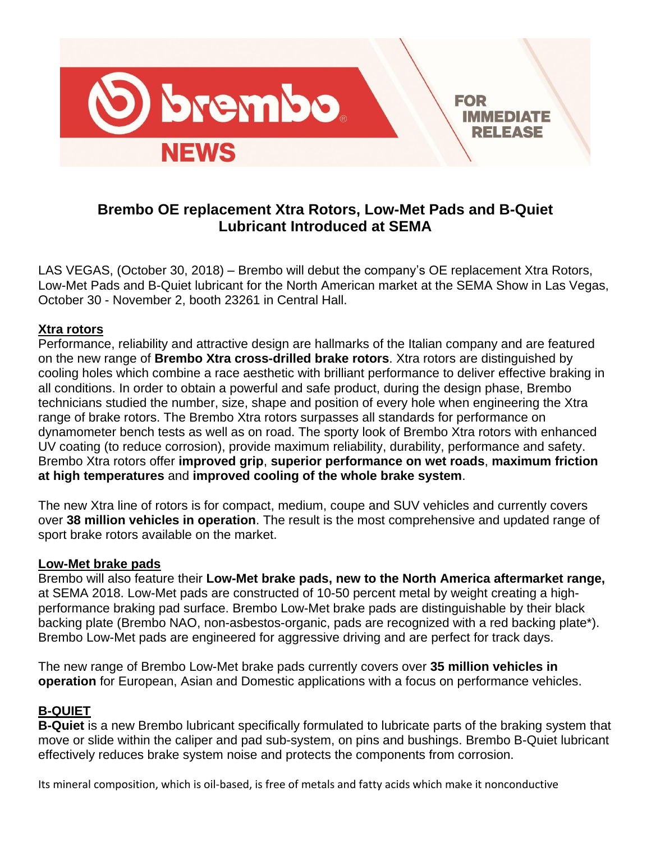

# **Brembo OE replacement Xtra Rotors, Low-Met Pads and B-Quiet Lubricant Introduced at SEMA**

LAS VEGAS, (October 30, 2018) – Brembo will debut the company's OE replacement Xtra Rotors, Low-Met Pads and B-Quiet lubricant for the North American market at the SEMA Show in Las Vegas, October 30 - November 2, booth 23261 in Central Hall.

## **Xtra rotors**

Performance, reliability and attractive design are hallmarks of the Italian company and are featured on the new range of **Brembo Xtra cross-drilled brake rotors**. Xtra rotors are distinguished by cooling holes which combine a race aesthetic with brilliant performance to deliver effective braking in all conditions. In order to obtain a powerful and safe product, during the design phase, Brembo technicians studied the number, size, shape and position of every hole when engineering the Xtra range of brake rotors. The Brembo Xtra rotors surpasses all standards for performance on dynamometer bench tests as well as on road. The sporty look of Brembo Xtra rotors with enhanced UV coating (to reduce corrosion), provide maximum reliability, durability, performance and safety. Brembo Xtra rotors offer **improved grip**, **superior performance on wet roads**, **maximum friction at high temperatures** and **improved cooling of the whole brake system**.

The new Xtra line of rotors is for compact, medium, coupe and SUV vehicles and currently covers over **38 million vehicles in operation**. The result is the most comprehensive and updated range of sport brake rotors available on the market.

#### **Low-Met brake pads**

Brembo will also feature their **Low-Met brake pads, new to the North America aftermarket range,** at SEMA 2018. Low-Met pads are constructed of 10-50 percent metal by weight creating a highperformance braking pad surface. Brembo Low-Met brake pads are distinguishable by their black backing plate (Brembo NAO, non-asbestos-organic, pads are recognized with a red backing plate\*). Brembo Low-Met pads are engineered for aggressive driving and are perfect for track days.

The new range of Brembo Low-Met brake pads currently covers over **35 million vehicles in operation** for European, Asian and Domestic applications with a focus on performance vehicles.

## **B-QUIET**

**B-Quiet** is a new Brembo lubricant specifically formulated to lubricate parts of the braking system that move or slide within the caliper and pad sub-system, on pins and bushings. Brembo B-Quiet lubricant effectively reduces brake system noise and protects the components from corrosion.

Its mineral composition, which is oil-based, is free of metals and fatty acids which make it nonconductive